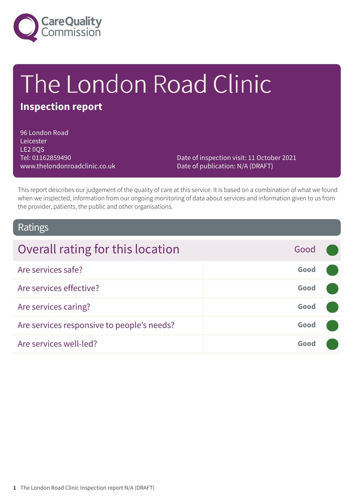

# The London Road Clinic

### **Inspection report**

96 London Road Leicester LE2 0QS Tel: 01162859490 www.thelondonroadclinic.co.uk

Date of inspection visit: 11 October 2021 Date of publication: N/A (DRAFT)

This report describes our judgement of the quality of care at this service. It is based on a combination of what we found when we inspected, information from our ongoing monitoring of data about services and information given to us from the provider, patients, the public and other organisations.

### Ratings

| Overall rating for this location           | Good |  |
|--------------------------------------------|------|--|
| Are services safe?                         | Good |  |
| Are services effective?                    | Good |  |
| Are services caring?                       | Good |  |
| Are services responsive to people's needs? | Good |  |
| Are services well-led?                     | Good |  |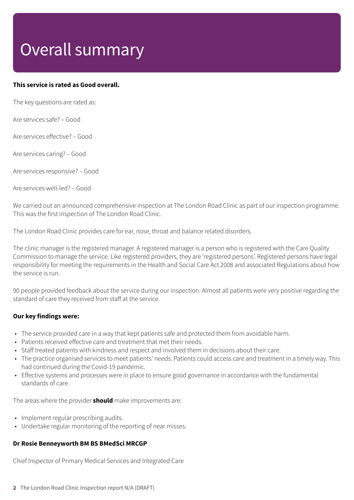# Overall summary

#### **This service is rated as Good overall.**

The key questions are rated as:

Are services safe? – Good

Are services effective? – Good

Are services caring? – Good

Are services responsive? – Good

Are services well-led? – Good

We carried out an announced comprehensive inspection at The London Road Clinic as part of our inspection programme. This was the first inspection of The London Road Clinic.

The London Road Clinic provides care for ear, nose, throat and balance related disorders.

The clinic manager is the registered manager. A registered manager is a person who is registered with the Care Quality Commission to manage the service. Like registered providers, they are 'registered persons'. Registered persons have legal responsibility for meeting the requirements in the Health and Social Care Act 2008 and associated Regulations about how the service is run.

90 people provided feedback about the service during our inspection. Almost all patients were very positive regarding the standard of care they received from staff at the service.

#### **Our key findings were:**

- The service provided care in a way that kept patients safe and protected them from avoidable harm.
- Patients received effective care and treatment that met their needs.
- Staff treated patients with kindness and respect and involved them in decisions about their care.
- The practice organised services to meet patients' needs. Patients could access care and treatment in a timely way. This had continued during the Covid-19 pandemic.
- Effective systems and processes were in place to ensure good governance in accordance with the fundamental standards of care.

The areas where the provider **should** make improvements are:

- Implement regular prescribing audits.
- Undertake regular monitoring of the reporting of near misses.

#### **Dr Rosie Benneyworth BM BS BMedSci MRCGP**

Chief Inspector of Primary Medical Services and Integrated Care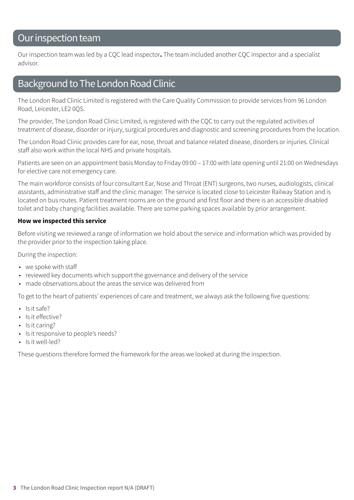### Our inspection team

Our inspection team was led by a CQC lead inspector**.** The team included another CQC inspector and a specialist advisor.

### Background to The London Road Clinic

The London Road Clinic Limited is registered with the Care Quality Commission to provide services from 96 London Road, Leicester, LE2 0QS.

The provider, The London Road Clinic Limited, is registered with the CQC to carry out the regulated activities of treatment of disease, disorder or injury, surgical procedures and diagnostic and screening procedures from the location.

The London Road Clinic provides care for ear, nose, throat and balance related disease, disorders or injuries. Clinical staff also work within the local NHS and private hospitals.

Patients are seen on an appointment basis Monday to Friday 09:00 – 17:00 with late opening until 21:00 on Wednesdays for elective care not emergency care.

The main workforce consists of four consultant Ear, Nose and Throat (ENT) surgeons, two nurses, audiologists, clinical assistants, administrative staff and the clinic manager. The service is located close to Leicester Railway Station and is located on bus routes. Patient treatment rooms are on the ground and first floor and there is an accessible disabled toilet and baby changing facilities available. There are some parking spaces available by prior arrangement.

#### **How we inspected this service**

Before visiting we reviewed a range of information we hold about the service and information which was provided by the provider prior to the inspection taking place.

During the inspection:

- we spoke with staff
- reviewed key documents which support the governance and delivery of the service
- made observations about the areas the service was delivered from

To get to the heart of patients' experiences of care and treatment, we always ask the following five questions:

- Is it safe?
- Is it effective?
- Is it caring?
- Is it responsive to people's needs?
- Is it well-led?

These questions therefore formed the framework for the areas we looked at during the inspection.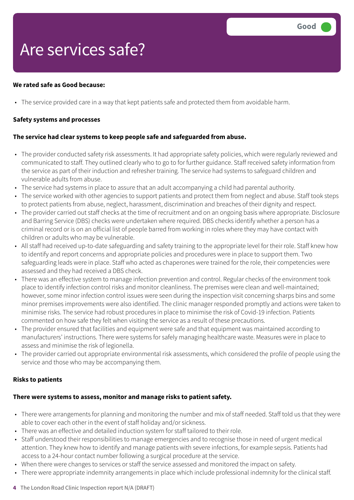# Are services safe?

#### **We rated safe as Good because:**

• The service provided care in a way that kept patients safe and protected them from avoidable harm.

#### **Safety systems and processes**

#### **The service had clear systems to keep people safe and safeguarded from abuse.**

- The provider conducted safety risk assessments. It had appropriate safety policies, which were regularly reviewed and communicated to staff. They outlined clearly who to go to for further guidance. Staff received safety information from the service as part of their induction and refresher training. The service had systems to safeguard children and vulnerable adults from abuse.
- The service had systems in place to assure that an adult accompanying a child had parental authority.
- The service worked with other agencies to support patients and protect them from neglect and abuse. Staff took steps to protect patients from abuse, neglect, harassment, discrimination and breaches of their dignity and respect.
- The provider carried out staff checks at the time of recruitment and on an ongoing basis where appropriate. Disclosure and Barring Service (DBS) checks were undertaken where required. DBS checks identify whether a person has a criminal record or is on an official list of people barred from working in roles where they may have contact with children or adults who may be vulnerable.
- All staff had received up-to-date safeguarding and safety training to the appropriate level for their role. Staff knew how to identify and report concerns and appropriate policies and procedures were in place to support them. Two safeguarding leads were in place. Staff who acted as chaperones were trained for the role, their competencies were assessed and they had received a DBS check.
- There was an effective system to manage infection prevention and control. Regular checks of the environment took place to identify infection control risks and monitor cleanliness. The premises were clean and well-maintained; however, some minor infection control issues were seen during the inspection visit concerning sharps bins and some minor premises improvements were also identified. The clinic manager responded promptly and actions were taken to minimise risks. The service had robust procedures in place to minimise the risk of Covid-19 infection. Patients commented on how safe they felt when visiting the service as a result of these precautions.
- The provider ensured that facilities and equipment were safe and that equipment was maintained according to manufacturers' instructions. There were systems for safely managing healthcare waste. Measures were in place to assess and minimise the risk of legionella.
- The provider carried out appropriate environmental risk assessments, which considered the profile of people using the service and those who may be accompanying them.

#### **Risks to patients**

#### **There were systems to assess, monitor and manage risks to patient safety.**

- There were arrangements for planning and monitoring the number and mix of staff needed. Staff told us that they were able to cover each other in the event of staff holiday and/or sickness.
- There was an effective and detailed induction system for staff tailored to their role.
- Staff understood their responsibilities to manage emergencies and to recognise those in need of urgent medical attention. They knew how to identify and manage patients with severe infections, for example sepsis. Patients had access to a 24-hour contact number following a surgical procedure at the service.
- When there were changes to services or staff the service assessed and monitored the impact on safety.
- There were appropriate indemnity arrangements in place which include professional indemnity for the clinical staff.
- **4** The London Road Clinic Inspection report N/A (DRAFT)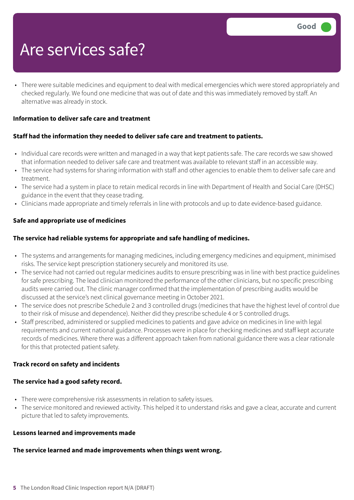### Are services safe?

• There were suitable medicines and equipment to deal with medical emergencies which were stored appropriately and checked regularly. We found one medicine that was out of date and this was immediately removed by staff. An alternative was already in stock.

#### **Information to deliver safe care and treatment**

#### **Staff had the information they needed to deliver safe care and treatment to patients.**

- Individual care records were written and managed in a way that kept patients safe. The care records we saw showed that information needed to deliver safe care and treatment was available to relevant staff in an accessible way.
- The service had systems for sharing information with staff and other agencies to enable them to deliver safe care and treatment.
- The service had a system in place to retain medical records in line with Department of Health and Social Care (DHSC) guidance in the event that they cease trading.
- Clinicians made appropriate and timely referrals in line with protocols and up to date evidence-based guidance.

#### **Safe and appropriate use of medicines**

#### **The service had reliable systems for appropriate and safe handling of medicines.**

- The systems and arrangements for managing medicines, including emergency medicines and equipment, minimised risks. The service kept prescription stationery securely and monitored its use.
- The service had not carried out regular medicines audits to ensure prescribing was in line with best practice guidelines for safe prescribing. The lead clinician monitored the performance of the other clinicians, but no specific prescribing audits were carried out. The clinic manager confirmed that the implementation of prescribing audits would be discussed at the service's next clinical governance meeting in October 2021.
- The service does not prescribe Schedule 2 and 3 controlled drugs (medicines that have the highest level of control due to their risk of misuse and dependence). Neither did they prescribe schedule 4 or 5 controlled drugs.
- Staff prescribed, administered or supplied medicines to patients and gave advice on medicines in line with legal requirements and current national guidance. Processes were in place for checking medicines and staff kept accurate records of medicines. Where there was a different approach taken from national guidance there was a clear rationale for this that protected patient safety.

#### **Track record on safety and incidents**

#### **The service had a good safety record.**

- There were comprehensive risk assessments in relation to safety issues.
- The service monitored and reviewed activity. This helped it to understand risks and gave a clear, accurate and current picture that led to safety improvements.

#### **Lessons learned and improvements made**

#### **The service learned and made improvements when things went wrong.**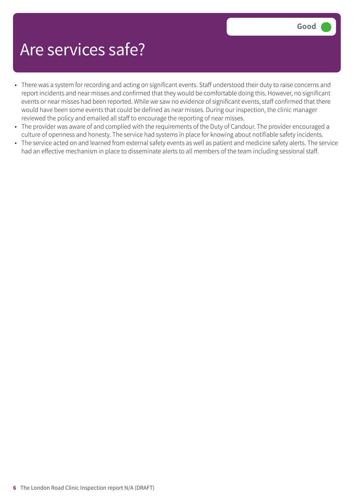### Are services safe?

- There was a system for recording and acting on significant events. Staff understood their duty to raise concerns and report incidents and near misses and confirmed that they would be comfortable doing this. However, no significant events or near misses had been reported. While we saw no evidence of significant events, staff confirmed that there would have been some events that could be defined as near misses. During our inspection, the clinic manager reviewed the policy and emailed all staff to encourage the reporting of near misses.
- The provider was aware of and complied with the requirements of the Duty of Candour. The provider encouraged a culture of openness and honesty. The service had systems in place for knowing about notifiable safety incidents.
- The service acted on and learned from external safety events as well as patient and medicine safety alerts. The service had an effective mechanism in place to disseminate alerts to all members of the team including sessional staff.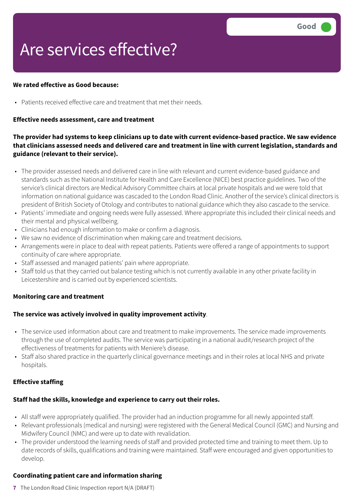# Are services effective?

#### **We rated effective as Good because:**

• Patients received effective care and treatment that met their needs.

#### **Effective needs assessment, care and treatment**

#### The provider had systems to keep clinicians up to date with current evidence-based practice. We saw evidence **that clinicians assessed needs and delivered care and treatment in line with current legislation, standards and guidance (relevant to their service).**

- The provider assessed needs and delivered care in line with relevant and current evidence-based guidance and standards such as the National Institute for Health and Care Excellence (NICE) best practice guidelines. Two of the service's clinical directors are Medical Advisory Committee chairs at local private hospitals and we were told that information on national guidance was cascaded to the London Road Clinic. Another of the service's clinical directors is president of British Society of Otology and contributes to national guidance which they also cascade to the service.
- Patients' immediate and ongoing needs were fully assessed. Where appropriate this included their clinical needs and their mental and physical wellbeing.
- Clinicians had enough information to make or confirm a diagnosis.
- We saw no evidence of discrimination when making care and treatment decisions.
- Arrangements were in place to deal with repeat patients. Patients were offered a range of appointments to support continuity of care where appropriate.
- Staff assessed and managed patients' pain where appropriate.
- Staff told us that they carried out balance testing which is not currently available in any other private facility in Leicestershire and is carried out by experienced scientists.

#### **Monitoring care and treatment**

#### **The service was actively involved in quality improvement activity**.

- The service used information about care and treatment to make improvements. The service made improvements through the use of completed audits. The service was participating in a national audit/research project of the effectiveness of treatments for patients with Meniere's disease.
- Staff also shared practice in the quarterly clinical governance meetings and in their roles at local NHS and private hospitals.

#### **Effective staffing**

#### **Staff had the skills, knowledge and experience to carry out their roles.**

- All staff were appropriately qualified. The provider had an induction programme for all newly appointed staff.
- Relevant professionals (medical and nursing) were registered with the General Medical Council (GMC) and Nursing and Midwifery Council (NMC) and were up to date with revalidation.
- The provider understood the learning needs of staff and provided protected time and training to meet them. Up to date records of skills, qualifications and training were maintained. Staff were encouraged and given opportunities to develop.

#### **Coordinating patient care and information sharing**

**7** The London Road Clinic Inspection report N/A (DRAFT)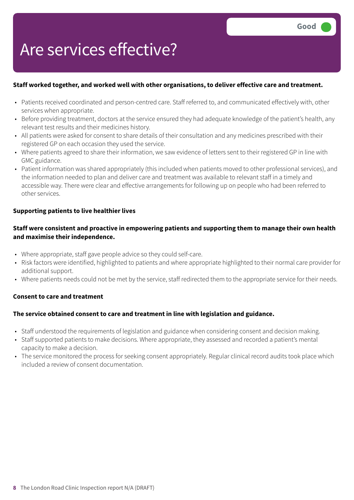# Are services effective?

#### **Staff worked together, and worked well with other organisations, to deliver effective care and treatment.**

- Patients received coordinated and person-centred care. Staff referred to, and communicated effectively with, other services when appropriate.
- Before providing treatment, doctors at the service ensured they had adequate knowledge of the patient's health, any relevant test results and their medicines history.
- All patients were asked for consent to share details of their consultation and any medicines prescribed with their registered GP on each occasion they used the service.
- Where patients agreed to share their information, we saw evidence of letters sent to their registered GP in line with GMC guidance.
- Patient information was shared appropriately (this included when patients moved to other professional services), and the information needed to plan and deliver care and treatment was available to relevant staff in a timely and accessible way. There were clear and effective arrangements for following up on people who had been referred to other services.

#### **Supporting patients to live healthier lives**

#### **Staff were consistent and proactive in empowering patients and supporting them to manage their own health and maximise their independence.**

- Where appropriate, staff gave people advice so they could self-care.
- Risk factors were identified, highlighted to patients and where appropriate highlighted to their normal care provider for additional support.
- Where patients needs could not be met by the service, staff redirected them to the appropriate service for their needs.

#### **Consent to care and treatment**

#### **The service obtained consent to care and treatment in line with legislation and guidance.**

- Staff understood the requirements of legislation and guidance when considering consent and decision making.
- Staff supported patients to make decisions. Where appropriate, they assessed and recorded a patient's mental capacity to make a decision.
- The service monitored the process for seeking consent appropriately. Regular clinical record audits took place which included a review of consent documentation.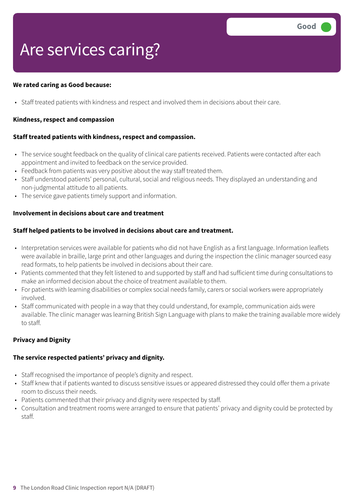### Are services caring?

#### **We rated caring as Good because:**

• Staff treated patients with kindness and respect and involved them in decisions about their care.

#### **Kindness, respect and compassion**

#### **Staff treated patients with kindness, respect and compassion.**

- The service sought feedback on the quality of clinical care patients received. Patients were contacted after each appointment and invited to feedback on the service provided.
- Feedback from patients was very positive about the way staff treated them.
- Staff understood patients' personal, cultural, social and religious needs. They displayed an understanding and non-judgmental attitude to all patients.
- The service gave patients timely support and information.

#### **Involvement in decisions about care and treatment**

#### **Staff helped patients to be involved in decisions about care and treatment.**

- Interpretation services were available for patients who did not have English as a first language. Information leaflets were available in braille, large print and other languages and during the inspection the clinic manager sourced easy read formats, to help patients be involved in decisions about their care.
- Patients commented that they felt listened to and supported by staff and had sufficient time during consultations to make an informed decision about the choice of treatment available to them.
- For patients with learning disabilities or complex social needs family, carers or social workers were appropriately involved.
- Staff communicated with people in a way that they could understand, for example, communication aids were available. The clinic manager was learning British Sign Language with plans to make the training available more widely to staff.

#### **Privacy and Dignity**

#### **The service respected patients' privacy and dignity.**

- Staff recognised the importance of people's dignity and respect.
- Staff knew that if patients wanted to discuss sensitive issues or appeared distressed they could offer them a private room to discuss their needs.
- Patients commented that their privacy and dignity were respected by staff.
- Consultation and treatment rooms were arranged to ensure that patients' privacy and dignity could be protected by staff.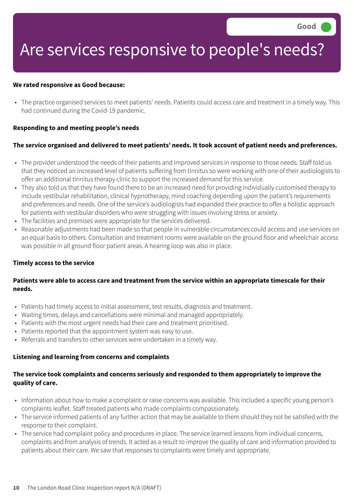### Are services responsive to people's needs?

#### **We rated responsive as Good because:**

• The practice organised services to meet patients' needs. Patients could access care and treatment in a timely way. This had continued during the Covid-19 pandemic.

#### **Responding to and meeting people's needs**

#### The service organised and delivered to meet patients' needs. It took account of patient needs and preferences.

- The provider understood the needs of their patients and improved services in response to those needs. Staff told us that they noticed an increased level of patients suffering from tinnitus so were working with one of their audiologists to offer an additional tinnitus therapy clinic to support the increased demand for this service.
- They also told us that they have found there to be an increased need for providing individually customised therapy to include vestibular rehabilitation, clinical hypnotherapy, mind coaching depending upon the patient's requirements and preferences and needs. One of the service's audiologists had expanded their practice to offer a holistic approach for patients with vestibular disorders who were struggling with issues involving stress or anxiety.
- The facilities and premises were appropriate for the services delivered.
- Reasonable adjustments had been made so that people in vulnerable circumstances could access and use services on an equal basis to others. Consultation and treatment rooms were available on the ground floor and wheelchair access was possible in all ground floor patient areas. A hearing loop was also in place.

#### **Timely access to the service**

#### Patients were able to access care and treatment from the service within an appropriate timescale for their **needs.**

- Patients had timely access to initial assessment, test results, diagnosis and treatment.
- Waiting times, delays and cancellations were minimal and managed appropriately.
- Patients with the most urgent needs had their care and treatment prioritised.
- Patients reported that the appointment system was easy to use.
- Referrals and transfers to other services were undertaken in a timely way.

#### **Listening and learning from concerns and complaints**

#### **The service took complaints and concerns seriously and responded to them appropriately to improve the quality of care.**

- Information about how to make a complaint or raise concerns was available. This included a specific young person's complaints leaflet. Staff treated patients who made complaints compassionately.
- The service informed patients of any further action that may be available to them should they not be satisfied with the response to their complaint.
- The service had complaint policy and procedures in place. The service learned lessons from individual concerns, complaints and from analysis of trends. It acted as a result to improve the quality of care and information provided to patients about their care. We saw that responses to complaints were timely and appropriate.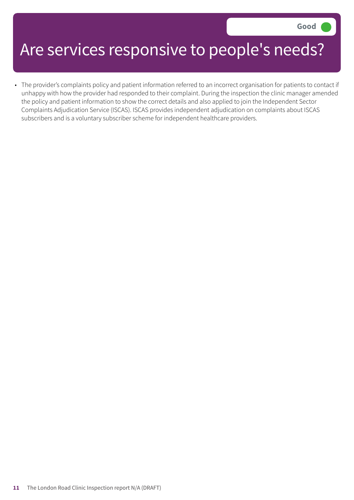### Are services responsive to people's needs?

• The provider's complaints policy and patient information referred to an incorrect organisation for patients to contact if unhappy with how the provider had responded to their complaint. During the inspection the clinic manager amended the policy and patient information to show the correct details and also applied to join the Independent Sector Complaints Adjudication Service (ISCAS). ISCAS provides independent adjudication on complaints about ISCAS subscribers and is a voluntary subscriber scheme for independent healthcare providers.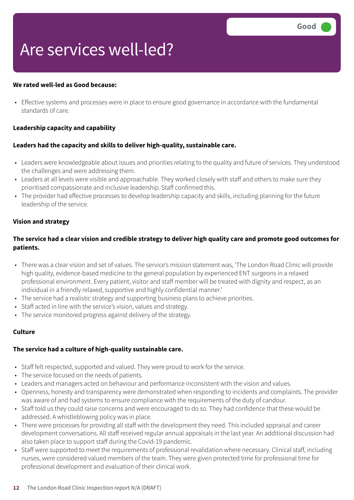### Are services well-led?

#### **We rated well-led as Good because:**

• Effective systems and processes were in place to ensure good governance in accordance with the fundamental standards of care.

#### **Leadership capacity and capability**

#### **Leaders had the capacity and skills to deliver high-quality, sustainable care.**

- Leaders were knowledgeable about issues and priorities relating to the quality and future of services. They understood the challenges and were addressing them.
- Leaders at all levels were visible and approachable. They worked closely with staff and others to make sure they prioritised compassionate and inclusive leadership. Staff confirmed this.
- The provider had effective processes to develop leadership capacity and skills, including planning for the future leadership of the service.

#### **Vision and strategy**

#### The service had a clear vision and credible strategy to deliver high quality care and promote good outcomes for **patients.**

- There was a clear vision and set of values. The service's mission statement was, 'The London Road Clinic will provide high quality, evidence-based medicine to the general population by experienced ENT surgeons in a relaxed professional environment. Every patient, visitor and staff member will be treated with dignity and respect, as an individual in a friendly relaxed, supportive and highly confidential manner.'
- The service had a realistic strategy and supporting business plans to achieve priorities.
- Staff acted in line with the service's vision, values and strategy.
- The service monitored progress against delivery of the strategy.

#### **Culture**

#### **The service had a culture of high-quality sustainable care.**

- Staff felt respected, supported and valued. They were proud to work for the service.
- The service focused on the needs of patients.
- Leaders and managers acted on behaviour and performance inconsistent with the vision and values.
- Openness, honesty and transparency were demonstrated when responding to incidents and complaints. The provider was aware of and had systems to ensure compliance with the requirements of the duty of candour.
- Staff told us they could raise concerns and were encouraged to do so. They had confidence that these would be addressed. A whistleblowing policy was in place.
- There were processes for providing all staff with the development they need. This included appraisal and career development conversations. All staff received regular annual appraisals in the last year. An additional discussion had also taken place to support staff during the Covid-19 pandemic.
- Staff were supported to meet the requirements of professional revalidation where necessary. Clinical staff, including nurses, were considered valued members of the team. They were given protected time for professional time for professional development and evaluation of their clinical work.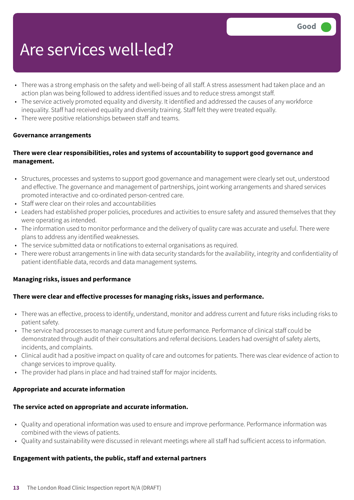### Are services well-led?

- There was a strong emphasis on the safety and well-being of all staff. A stress assessment had taken place and an action plan was being followed to address identified issues and to reduce stress amongst staff.
- The service actively promoted equality and diversity. It identified and addressed the causes of any workforce inequality. Staff had received equality and diversity training. Staff felt they were treated equally.
- There were positive relationships between staff and teams.

#### **Governance arrangements**

#### **There were clear responsibilities, roles and systems of accountability to support good governance and management.**

- Structures, processes and systems to support good governance and management were clearly set out, understood and effective. The governance and management of partnerships, joint working arrangements and shared services promoted interactive and co-ordinated person-centred care.
- Staff were clear on their roles and accountabilities
- Leaders had established proper policies, procedures and activities to ensure safety and assured themselves that they were operating as intended.
- The information used to monitor performance and the delivery of quality care was accurate and useful. There were plans to address any identified weaknesses.
- The service submitted data or notifications to external organisations as required.
- There were robust arrangements in line with data security standards for the availability, integrity and confidentiality of patient identifiable data, records and data management systems.

#### **Managing risks, issues and performance**

#### **There were clear and effective processes for managing risks, issues and performance.**

- There was an effective, process to identify, understand, monitor and address current and future risks including risks to patient safety.
- The service had processes to manage current and future performance. Performance of clinical staff could be demonstrated through audit of their consultations and referral decisions. Leaders had oversight of safety alerts, incidents, and complaints.
- Clinical audit had a positive impact on quality of care and outcomes for patients. There was clear evidence of action to change services to improve quality.
- The provider had plans in place and had trained staff for major incidents.

#### **Appropriate and accurate information**

#### **The service acted on appropriate and accurate information.**

- Quality and operational information was used to ensure and improve performance. Performance information was combined with the views of patients.
- Quality and sustainability were discussed in relevant meetings where all staff had sufficient access to information.

#### **Engagement with patients, the public, staff and external partners**